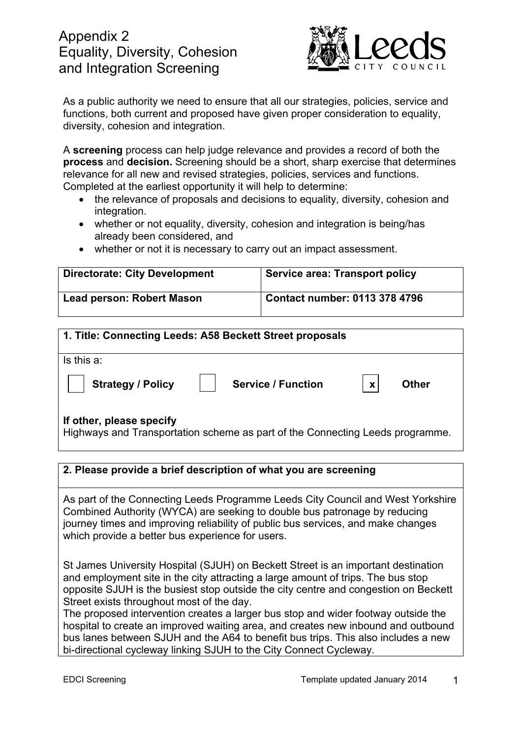# Appendix 2 Equality, Diversity, Cohesion and Integration Screening



As a public authority we need to ensure that all our strategies, policies, service and functions, both current and proposed have given proper consideration to equality, diversity, cohesion and integration.

A **screening** process can help judge relevance and provides a record of both the **process** and **decision.** Screening should be a short, sharp exercise that determines relevance for all new and revised strategies, policies, services and functions. Completed at the earliest opportunity it will help to determine:

- the relevance of proposals and decisions to equality, diversity, cohesion and integration.
- whether or not equality, diversity, cohesion and integration is being/has already been considered, and
- whether or not it is necessary to carry out an impact assessment.

| <b>Directorate: City Development</b> | <b>Service area: Transport policy</b> |
|--------------------------------------|---------------------------------------|
| Lead person: Robert Mason            | <b>Contact number: 0113 378 4796</b>  |

| 1. Title: Connecting Leeds: A58 Beckett Street proposals                                                  |  |  |  |
|-----------------------------------------------------------------------------------------------------------|--|--|--|
| Is this a:                                                                                                |  |  |  |
| <b>Strategy / Policy</b><br><b>Service / Function</b><br><b>Other</b><br>$\boldsymbol{x}$                 |  |  |  |
| If other, please specify<br>Highways and Transportation scheme as part of the Connecting Leeds programme. |  |  |  |

## **2. Please provide a brief description of what you are screening**

As part of the Connecting Leeds Programme Leeds City Council and West Yorkshire Combined Authority (WYCA) are seeking to double bus patronage by reducing journey times and improving reliability of public bus services, and make changes which provide a better bus experience for users.

St James University Hospital (SJUH) on Beckett Street is an important destination and employment site in the city attracting a large amount of trips. The bus stop opposite SJUH is the busiest stop outside the city centre and congestion on Beckett Street exists throughout most of the day.

The proposed intervention creates a larger bus stop and wider footway outside the hospital to create an improved waiting area, and creates new inbound and outbound bus lanes between SJUH and the A64 to benefit bus trips. This also includes a new bi-directional cycleway linking SJUH to the City Connect Cycleway.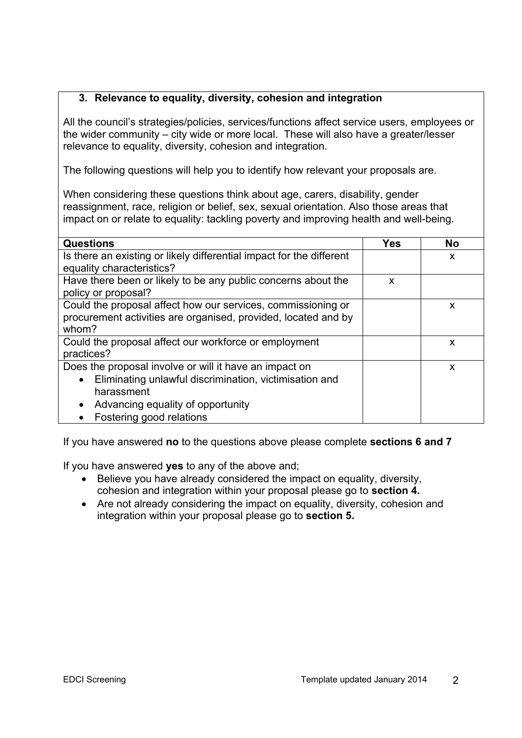## **3. Relevance to equality, diversity, cohesion and integration**

All the council's strategies/policies, services/functions affect service users, employees or the wider community – city wide or more local. These will also have a greater/lesser relevance to equality, diversity, cohesion and integration.

The following questions will help you to identify how relevant your proposals are.

When considering these questions think about age, carers, disability, gender reassignment, race, religion or belief, sex, sexual orientation. Also those areas that impact on or relate to equality: tackling poverty and improving health and well-being.

| <b>Questions</b>                                                     | <b>Yes</b> | <b>No</b> |
|----------------------------------------------------------------------|------------|-----------|
|                                                                      |            |           |
| Is there an existing or likely differential impact for the different |            | X         |
| equality characteristics?                                            |            |           |
| Have there been or likely to be any public concerns about the        | X          |           |
| policy or proposal?                                                  |            |           |
| Could the proposal affect how our services, commissioning or         |            | X         |
| procurement activities are organised, provided, located and by       |            |           |
|                                                                      |            |           |
| whom?                                                                |            |           |
| Could the proposal affect our workforce or employment                |            | X         |
| practices?                                                           |            |           |
| Does the proposal involve or will it have an impact on               |            | X         |
| Eliminating unlawful discrimination, victimisation and<br>$\bullet$  |            |           |
| harassment                                                           |            |           |
| Advancing equality of opportunity<br>$\bullet$                       |            |           |
| Fostering good relations                                             |            |           |

If you have answered **no** to the questions above please complete **sections 6 and 7**

If you have answered **yes** to any of the above and;

- Believe you have already considered the impact on equality, diversity, cohesion and integration within your proposal please go to **section 4.**
- Are not already considering the impact on equality, diversity, cohesion and integration within your proposal please go to **section 5.**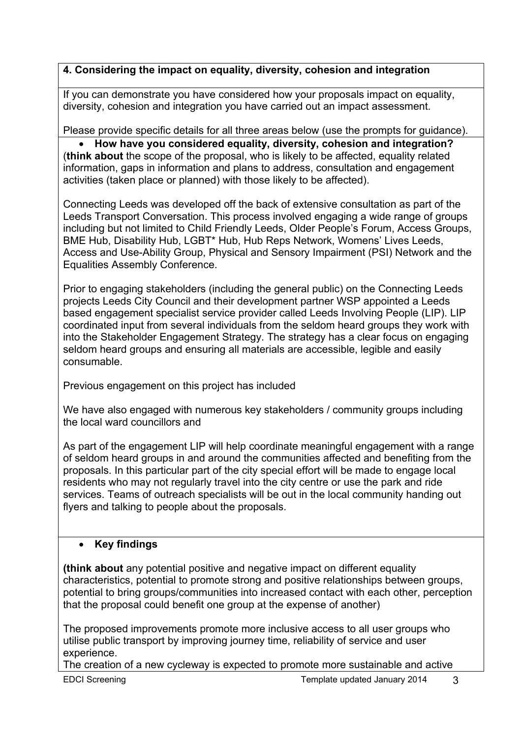# **4. Considering the impact on equality, diversity, cohesion and integration**

If you can demonstrate you have considered how your proposals impact on equality, diversity, cohesion and integration you have carried out an impact assessment.

Please provide specific details for all three areas below (use the prompts for guidance).

 **How have you considered equality, diversity, cohesion and integration?**  (**think about** the scope of the proposal, who is likely to be affected, equality related information, gaps in information and plans to address, consultation and engagement activities (taken place or planned) with those likely to be affected).

Connecting Leeds was developed off the back of extensive consultation as part of the Leeds Transport Conversation. This process involved engaging a wide range of groups including but not limited to Child Friendly Leeds, Older People's Forum, Access Groups, BME Hub, Disability Hub, LGBT\* Hub, Hub Reps Network, Womens' Lives Leeds, Access and Use-Ability Group, Physical and Sensory Impairment (PSI) Network and the Equalities Assembly Conference.

Prior to engaging stakeholders (including the general public) on the Connecting Leeds projects Leeds City Council and their development partner WSP appointed a Leeds based engagement specialist service provider called Leeds Involving People (LIP). LIP coordinated input from several individuals from the seldom heard groups they work with into the Stakeholder Engagement Strategy. The strategy has a clear focus on engaging seldom heard groups and ensuring all materials are accessible, legible and easily consumable.

Previous engagement on this project has included

We have also engaged with numerous key stakeholders / community groups including the local ward councillors and

As part of the engagement LIP will help coordinate meaningful engagement with a range of seldom heard groups in and around the communities affected and benefiting from the proposals. In this particular part of the city special effort will be made to engage local residents who may not regularly travel into the city centre or use the park and ride services. Teams of outreach specialists will be out in the local community handing out flyers and talking to people about the proposals.

# **Key findings**

**(think about** any potential positive and negative impact on different equality characteristics, potential to promote strong and positive relationships between groups, potential to bring groups/communities into increased contact with each other, perception that the proposal could benefit one group at the expense of another)

The proposed improvements promote more inclusive access to all user groups who utilise public transport by improving journey time, reliability of service and user experience.

The creation of a new cycleway is expected to promote more sustainable and active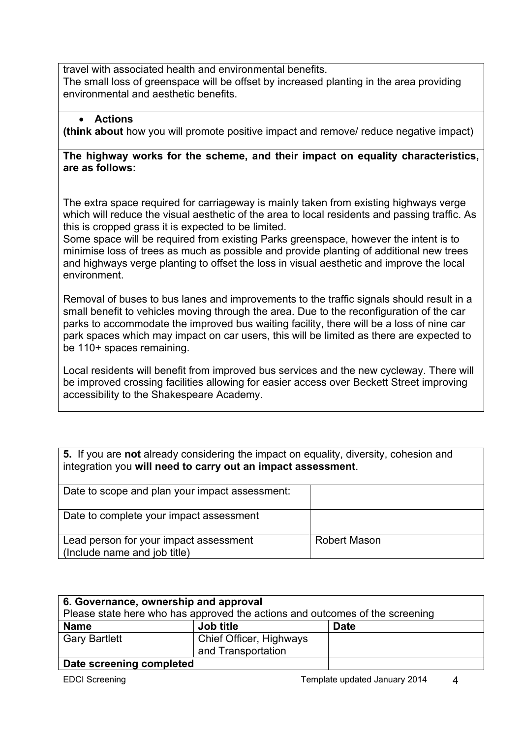travel with associated health and environmental benefits.

The small loss of greenspace will be offset by increased planting in the area providing environmental and aesthetic benefits.

#### **Actions**

**(think about** how you will promote positive impact and remove/ reduce negative impact)

#### **The highway works for the scheme, and their impact on equality characteristics, are as follows:**

The extra space required for carriageway is mainly taken from existing highways verge which will reduce the visual aesthetic of the area to local residents and passing traffic. As this is cropped grass it is expected to be limited.

Some space will be required from existing Parks greenspace, however the intent is to minimise loss of trees as much as possible and provide planting of additional new trees and highways verge planting to offset the loss in visual aesthetic and improve the local environment.

Removal of buses to bus lanes and improvements to the traffic signals should result in a small benefit to vehicles moving through the area. Due to the reconfiguration of the car parks to accommodate the improved bus waiting facility, there will be a loss of nine car park spaces which may impact on car users, this will be limited as there are expected to be 110+ spaces remaining.

Local residents will benefit from improved bus services and the new cycleway. There will be improved crossing facilities allowing for easier access over Beckett Street improving accessibility to the Shakespeare Academy.

| 5. If you are not already considering the impact on equality, diversity, cohesion and<br>integration you will need to carry out an impact assessment. |              |  |  |
|-------------------------------------------------------------------------------------------------------------------------------------------------------|--------------|--|--|
| Date to scope and plan your impact assessment:                                                                                                        |              |  |  |
| Date to complete your impact assessment                                                                                                               |              |  |  |
| Lead person for your impact assessment<br>(Include name and job title)                                                                                | Robert Mason |  |  |

| 6. Governance, ownership and approval<br>Please state here who has approved the actions and outcomes of the screening |                                               |             |  |  |
|-----------------------------------------------------------------------------------------------------------------------|-----------------------------------------------|-------------|--|--|
| <b>Name</b>                                                                                                           | Job title                                     | <b>Date</b> |  |  |
| <b>Gary Bartlett</b>                                                                                                  | Chief Officer, Highways<br>and Transportation |             |  |  |
| Date screening completed                                                                                              |                                               |             |  |  |